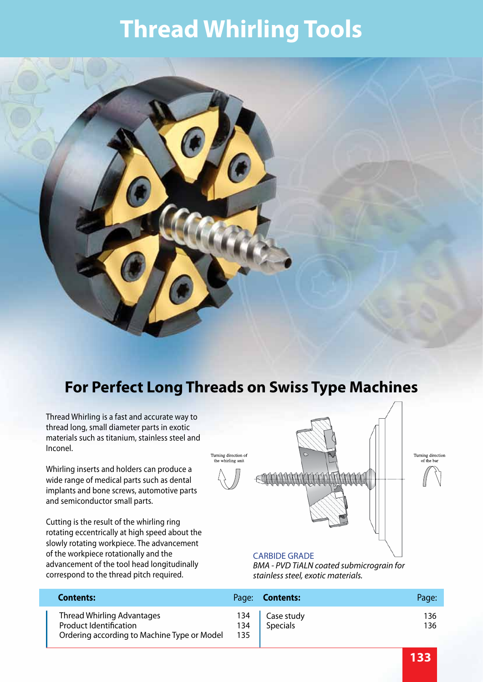### **Thread Whirling Tools**



Thread Whirling is a fast and accurate way to thread long, small diameter parts in exotic materials such as titanium, stainless steel and Inconel.

Whirling inserts and holders can produce a wide range of medical parts such as dental implants and bone screws, automotive parts and semiconductor small parts.

Cutting is the result of the whirling ring rotating eccentrically at high speed about the slowly rotating workpiece. The advancement of the workpiece rotationally and the advancement of the tool head longitudinally correspond to the thread pitch required.



#### CARBIDE GRADE

*BMA - PVD TiALN coated submicrograin for stainless steel, exotic materials.*

| <b>Contents:</b>                                                                                           |            | Page: <b>Contents:</b>       | Page:       |
|------------------------------------------------------------------------------------------------------------|------------|------------------------------|-------------|
| Thread Whirling Advantages<br><b>Product Identification</b><br>Ordering according to Machine Type or Model | 134<br>135 | 134   Case study<br>Specials | 136.<br>136 |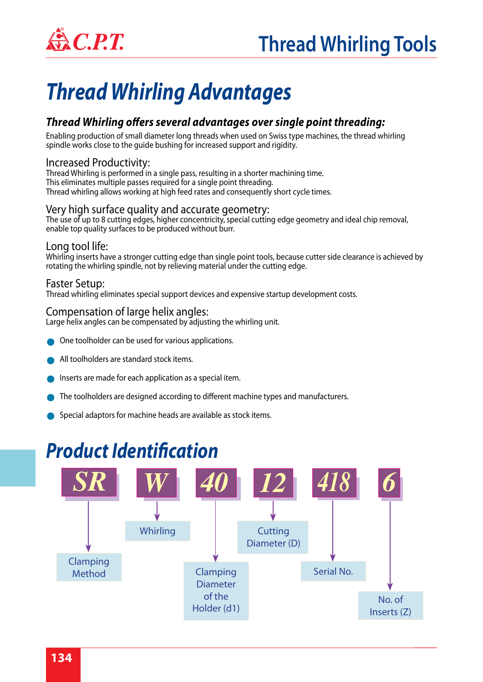

### **EXACTE:** Thread Whirling Tools

### *Thread Whirling Advantages*

### *Thread Whirling offers several advantages over single point threading:*

Enabling production of small diameter long threads when used on Swiss type machines, the thread whirling spindle works close to the guide bushing for increased support and rigidity.

#### Increased Productivity:

Thread Whirling is performed in a single pass, resulting in a shorter machining time. This eliminates multiple passes required for a single point threading. Thread whirling allows working at high feed rates and consequently short cycle times.

#### Very high surface quality and accurate geometry:

The use of up to 8 cutting edges, higher concentricity, special cutting edge geometry and ideal chip removal, enable top quality surfaces to be produced without burr.

#### Long tool life:

Whirling inserts have a stronger cutting edge than single point tools, because cutter side clearance is achieved by rotating the whirling spindle, not by relieving material under the cutting edge.

#### Faster Setup:

Thread whirling eliminates special support devices and expensive startup development costs.

#### Compensation of large helix angles:

Large helix angles can be compensated by adjusting the whirling unit.

- One toolholder can be used for various applications.
- All toolholders are standard stock items.
- Inserts are made for each application as a special item.
- The toolholders are designed according to different machine types and manufacturers.
- Special adaptors for machine heads are available as stock items.

### *Product Identification*

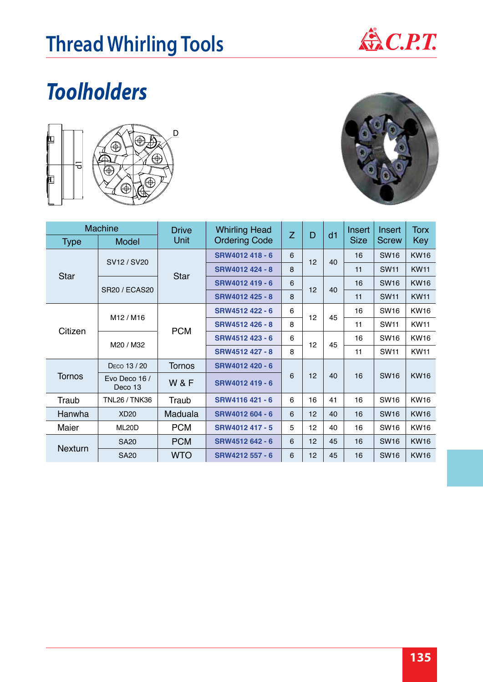

## *Toolholders*



| <b>Type</b>                       | <b>Machine</b><br><b>Model</b> | <b>Drive</b><br>Unit | <b>Whirling Head</b><br><b>Ordering Code</b> | Z | D  | d1 | Insert<br><b>Size</b> | Insert<br><b>Screw</b> | <b>Torx</b><br><b>Key</b> |
|-----------------------------------|--------------------------------|----------------------|----------------------------------------------|---|----|----|-----------------------|------------------------|---------------------------|
|                                   |                                |                      |                                              |   |    |    |                       |                        |                           |
| <b>Star</b>                       | SV12 / SV20                    | <b>Star</b>          | SRW4012 418 - 6                              | 6 | 12 | 40 | 16                    | <b>SW16</b>            | <b>KW16</b>               |
|                                   |                                |                      | SRW4012 424 - 8                              | 8 |    |    | 11                    | <b>SW11</b>            | <b>KW11</b>               |
|                                   | <b>SR20 / ECAS20</b>           |                      | SRW4012 419 - 6                              | 6 | 12 | 40 | 16                    | <b>SW16</b>            | <b>KW16</b>               |
|                                   |                                |                      | SRW4012 425 - 8                              | 8 |    |    | 11                    | <b>SW11</b>            | <b>KW11</b>               |
| M12 / M16<br>Citizen<br>M20 / M32 |                                | SRW4512 422 - 6      | 6                                            |   |    | 16 | <b>SW16</b>           | <b>KW16</b>            |                           |
|                                   |                                | <b>PCM</b>           | SRW4512 426 - 8                              | 8 | 12 | 45 | 11                    | <b>SW11</b>            | <b>KW11</b>               |
|                                   |                                |                      | SRW4512 423 - 6                              | 6 | 12 | 45 | 16                    | <b>SW16</b>            | <b>KW16</b>               |
|                                   |                                |                      | SRW4512 427 - 8                              | 8 |    |    | 11                    | <b>SW11</b>            | <b>KW11</b>               |
|                                   | DECO 13 / 20                   | <b>Tornos</b><br>W&F | SRW4012 420 - 6                              |   |    |    | 16                    | <b>SW16</b>            | <b>KW16</b>               |
| <b>Tornos</b>                     | Evo Deco 16 /<br>Deco 13       |                      | SRW4012 419 - 6                              | 6 | 12 | 40 |                       |                        |                           |
| Traub                             | <b>TNL26 / TNK36</b>           | Traub                | SRW4116 421 - 6                              | 6 | 16 | 41 | 16                    | <b>SW16</b>            | <b>KW16</b>               |
| Hanwha                            | <b>XD20</b>                    | Maduala              | SRW4012 604 - 6                              | 6 | 12 | 40 | 16                    | <b>SW16</b>            | <b>KW16</b>               |
| Maier                             | ML20D                          | <b>PCM</b>           | SRW4012 417 - 5                              | 5 | 12 | 40 | 16                    | <b>SW16</b>            | <b>KW16</b>               |
| <b>Nexturn</b>                    | <b>SA20</b>                    | <b>PCM</b>           | SRW4512 642 - 6                              | 6 | 12 | 45 | 16                    | <b>SW16</b>            | <b>KW16</b>               |
|                                   | <b>SA20</b>                    | <b>WTO</b>           | SRW4212 557 - 6                              | 6 | 12 | 45 | 16                    | <b>SW16</b>            | <b>KW16</b>               |